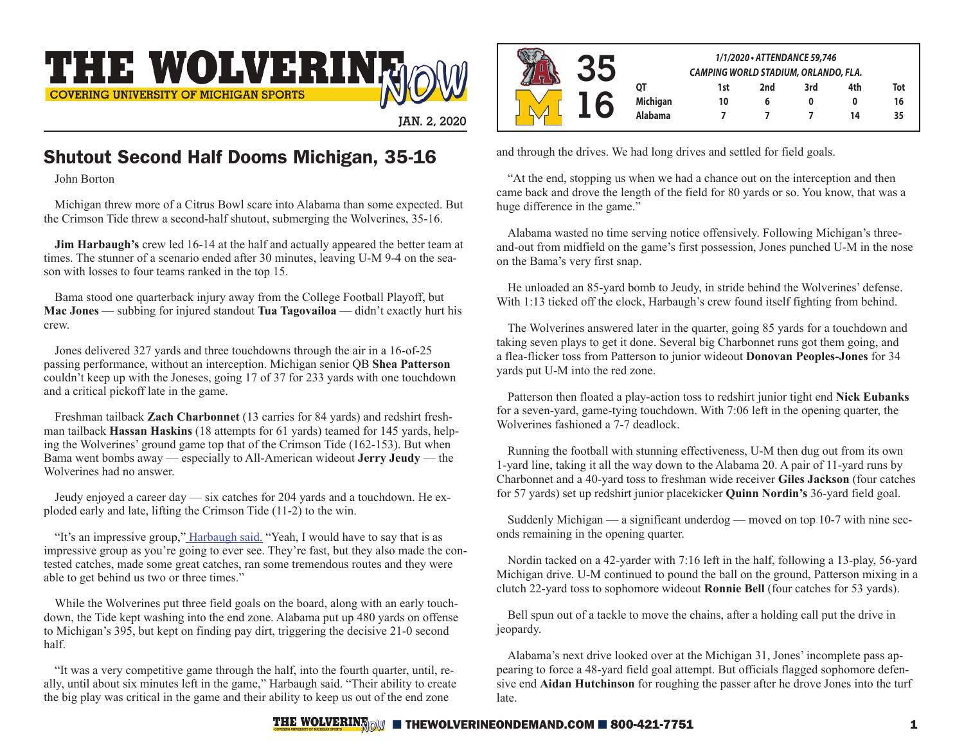

**JAN. 2, 2020**

# Shutout Second Half Dooms Michigan, 35-16

John Borton

Michigan threw more of a Citrus Bowl scare into Alabama than some expected. But the Crimson Tide threw a second-half shutout, submerging the Wolverines, 35-16.

**Jim Harbaugh's** crew led 16-14 at the half and actually appeared the better team at times. The stunner of a scenario ended after 30 minutes, leaving U-M 9-4 on the season with losses to four teams ranked in the top 15.

Bama stood one quarterback injury away from the College Football Playoff, but **Mac Jones** — subbing for injured standout **Tua Tagovailoa** — didn't exactly hurt his crew.

Jones delivered 327 yards and three touchdowns through the air in a 16-of-25 passing performance, without an interception. Michigan senior QB **Shea Patterson** couldn't keep up with the Joneses, going 17 of 37 for 233 yards with one touchdown and a critical pickoff late in the game.

Freshman tailback **Zach Charbonnet** (13 carries for 84 yards) and redshirt freshman tailback **Hassan Haskins** (18 attempts for 61 yards) teamed for 145 yards, helping the Wolverines' ground game top that of the Crimson Tide (162-153). But when Bama went bombs away — especially to All-American wideout **Jerry Jeudy** — the Wolverines had no answer.

Jeudy enjoyed a career day — six catches for 204 yards and a touchdown. He exploded early and late, lifting the Crimson Tide (11-2) to the win.

"It's an impressive group," [Harbaugh said.](https://michigan.rivals.com/news/michigan-wolverines-postgame-video-harbaugh-patterson-mcgrone-talk-loss-1) "Yeah, I would have to say that is as impressive group as you're going to ever see. They're fast, but they also made the contested catches, made some great catches, ran some tremendous routes and they were able to get behind us two or three times."

While the Wolverines put three field goals on the board, along with an early touchdown, the Tide kept washing into the end zone. Alabama put up 480 yards on offense to Michigan's 395, but kept on finding pay dirt, triggering the decisive 21-0 second half.

"It was a very competitive game through the half, into the fourth quarter, until, really, until about six minutes left in the game," Harbaugh said. "Their ability to create the big play was critical in the game and their ability to keep us out of the end zone

|  | 1/1/2020 • ATTENDANCE 59,746<br>CAMPING WORLD STADIUM, ORLANDO, FLA. |     |     |     |     |     |
|--|----------------------------------------------------------------------|-----|-----|-----|-----|-----|
|  |                                                                      | 1st | 2nd | 3rd | 4th | Tot |
|  | <b>Michigan</b>                                                      | 10  | 6   |     |     | 16  |
|  | Alabama                                                              |     |     |     | 14  | 35  |

and through the drives. We had long drives and settled for field goals.

"At the end, stopping us when we had a chance out on the interception and then came back and drove the length of the field for 80 yards or so. You know, that was a huge difference in the game."

Alabama wasted no time serving notice offensively. Following Michigan's threeand-out from midfield on the game's first possession, Jones punched U-M in the nose on the Bama's very first snap.

He unloaded an 85-yard bomb to Jeudy, in stride behind the Wolverines' defense. With 1:13 ticked off the clock, Harbaugh's crew found itself fighting from behind.

The Wolverines answered later in the quarter, going 85 yards for a touchdown and taking seven plays to get it done. Several big Charbonnet runs got them going, and a flea-flicker toss from Patterson to junior wideout **Donovan Peoples-Jones** for 34 yards put U-M into the red zone.

Patterson then floated a play-action toss to redshirt junior tight end **Nick Eubanks** for a seven-yard, game-tying touchdown. With 7:06 left in the opening quarter, the Wolverines fashioned a 7-7 deadlock.

Running the football with stunning effectiveness, U-M then dug out from its own 1-yard line, taking it all the way down to the Alabama 20. A pair of 11-yard runs by Charbonnet and a 40-yard toss to freshman wide receiver **Giles Jackson** (four catches for 57 yards) set up redshirt junior placekicker **Quinn Nordin's** 36-yard field goal.

Suddenly Michigan — a significant underdog — moved on top 10-7 with nine seconds remaining in the opening quarter.

Nordin tacked on a 42-yarder with 7:16 left in the half, following a 13-play, 56-yard Michigan drive. U-M continued to pound the ball on the ground, Patterson mixing in a clutch 22-yard toss to sophomore wideout **Ronnie Bell** (four catches for 53 yards).

Bell spun out of a tackle to move the chains, after a holding call put the drive in jeopardy.

Alabama's next drive looked over at the Michigan 31, Jones' incomplete pass appearing to force a 48-yard field goal attempt. But officials flagged sophomore defensive end **Aidan Hutchinson** for roughing the passer after he drove Jones into the turf late.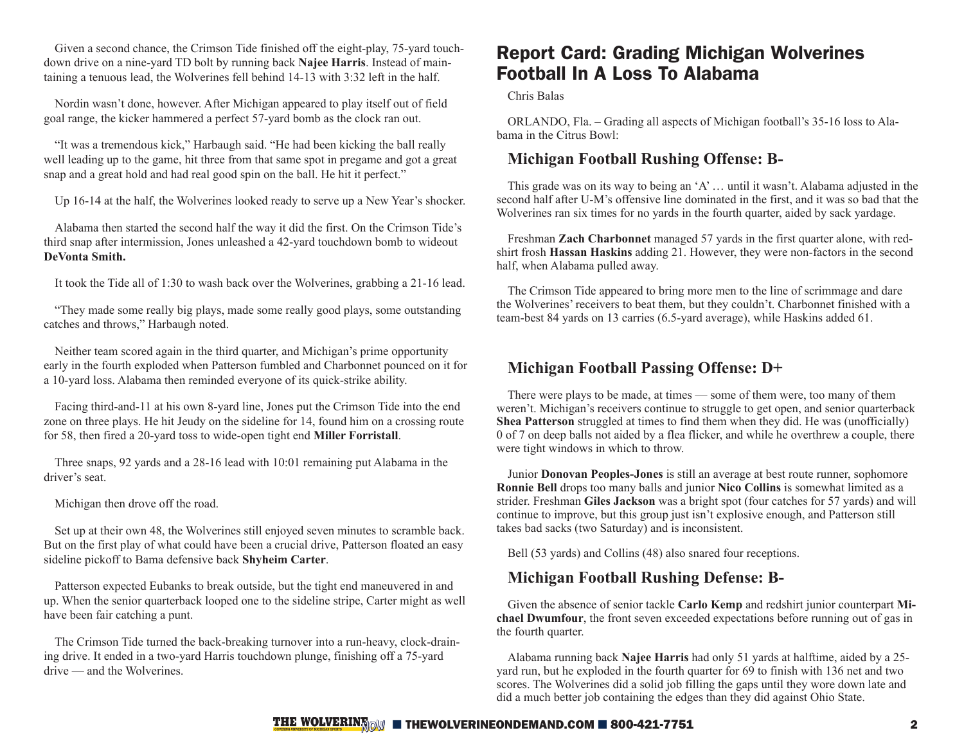Given a second chance, the Crimson Tide finished off the eight-play, 75-yard touchdown drive on a nine-yard TD bolt by running back **Najee Harris**. Instead of maintaining a tenuous lead, the Wolverines fell behind 14-13 with 3:32 left in the half.

Nordin wasn't done, however. After Michigan appeared to play itself out of field goal range, the kicker hammered a perfect 57-yard bomb as the clock ran out.

"It was a tremendous kick," Harbaugh said. "He had been kicking the ball really well leading up to the game, hit three from that same spot in pregame and got a great snap and a great hold and had real good spin on the ball. He hit it perfect."

Up 16-14 at the half, the Wolverines looked ready to serve up a New Year's shocker.

Alabama then started the second half the way it did the first. On the Crimson Tide's third snap after intermission, Jones unleashed a 42-yard touchdown bomb to wideout **DeVonta Smith.**

It took the Tide all of 1:30 to wash back over the Wolverines, grabbing a 21-16 lead.

"They made some really big plays, made some really good plays, some outstanding catches and throws," Harbaugh noted.

Neither team scored again in the third quarter, and Michigan's prime opportunity early in the fourth exploded when Patterson fumbled and Charbonnet pounced on it for a 10-yard loss. Alabama then reminded everyone of its quick-strike ability.

Facing third-and-11 at his own 8-yard line, Jones put the Crimson Tide into the end zone on three plays. He hit Jeudy on the sideline for 14, found him on a crossing route for 58, then fired a 20-yard toss to wide-open tight end **Miller Forristall**.

Three snaps, 92 yards and a 28-16 lead with 10:01 remaining put Alabama in the driver's seat.

Michigan then drove off the road.

Set up at their own 48, the Wolverines still enjoyed seven minutes to scramble back. But on the first play of what could have been a crucial drive, Patterson floated an easy sideline pickoff to Bama defensive back **Shyheim Carter**.

Patterson expected Eubanks to break outside, but the tight end maneuvered in and up. When the senior quarterback looped one to the sideline stripe, Carter might as well have been fair catching a punt.

The Crimson Tide turned the back-breaking turnover into a run-heavy, clock-draining drive. It ended in a two-yard Harris touchdown plunge, finishing off a 75-yard drive — and the Wolverines.

# Report Card: Grading Michigan Wolverines Football In A Loss To Alabama

Chris Balas

ORLANDO, Fla. – Grading all aspects of Michigan football's 35-16 loss to Alabama in the Citrus Bowl:

### **Michigan Football Rushing Offense: B-**

This grade was on its way to being an 'A' … until it wasn't. Alabama adjusted in the second half after U-M's offensive line dominated in the first, and it was so bad that the Wolverines ran six times for no yards in the fourth quarter, aided by sack yardage.

Freshman **Zach Charbonnet** managed 57 yards in the first quarter alone, with redshirt frosh **Hassan Haskins** adding 21. However, they were non-factors in the second half, when Alabama pulled away.

The Crimson Tide appeared to bring more men to the line of scrimmage and dare the Wolverines' receivers to beat them, but they couldn't. Charbonnet finished with a team-best 84 yards on 13 carries (6.5-yard average), while Haskins added 61.

### **Michigan Football Passing Offense: D+**

There were plays to be made, at times — some of them were, too many of them weren't. Michigan's receivers continue to struggle to get open, and senior quarterback **Shea Patterson** struggled at times to find them when they did. He was (unofficially) 0 of 7 on deep balls not aided by a flea flicker, and while he overthrew a couple, there were tight windows in which to throw.

Junior **Donovan Peoples-Jones** is still an average at best route runner, sophomore **Ronnie Bell** drops too many balls and junior **Nico Collins** is somewhat limited as a strider. Freshman **Giles Jackson** was a bright spot (four catches for 57 yards) and will continue to improve, but this group just isn't explosive enough, and Patterson still takes bad sacks (two Saturday) and is inconsistent.

Bell (53 yards) and Collins (48) also snared four receptions.

## **Michigan Football Rushing Defense: B-**

Given the absence of senior tackle **Carlo Kemp** and redshirt junior counterpart **Michael Dwumfour**, the front seven exceeded expectations before running out of gas in the fourth quarter.

Alabama running back **Najee Harris** had only 51 yards at halftime, aided by a 25 yard run, but he exploded in the fourth quarter for 69 to finish with 136 net and two scores. The Wolverines did a solid job filling the gaps until they wore down late and did a much better job containing the edges than they did against Ohio State.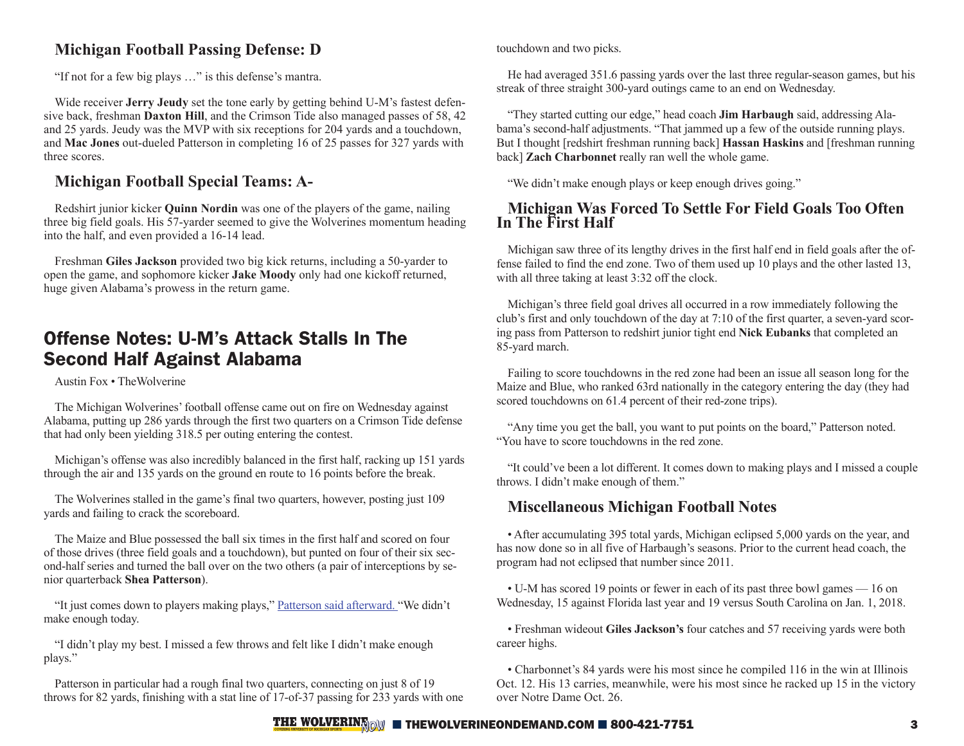## **Michigan Football Passing Defense: D**

"If not for a few big plays …" is this defense's mantra.

Wide receiver **Jerry Jeudy** set the tone early by getting behind U-M's fastest defensive back, freshman **Daxton Hill**, and the Crimson Tide also managed passes of 58, 42 and 25 yards. Jeudy was the MVP with six receptions for 204 yards and a touchdown, and **Mac Jones** out-dueled Patterson in completing 16 of 25 passes for 327 yards with three scores.

## **Michigan Football Special Teams: A-**

Redshirt junior kicker **Quinn Nordin** was one of the players of the game, nailing three big field goals. His 57-yarder seemed to give the Wolverines momentum heading into the half, and even provided a 16-14 lead.

Freshman **Giles Jackson** provided two big kick returns, including a 50-yarder to open the game, and sophomore kicker **Jake Moody** only had one kickoff returned, huge given Alabama's prowess in the return game.

# Offense Notes: U-M's Attack Stalls In The Second Half Against Alabama

Austin Fox • TheWolverine

The Michigan Wolverines' football offense came out on fire on Wednesday against Alabama, putting up 286 yards through the first two quarters on a Crimson Tide defense that had only been yielding 318.5 per outing entering the contest.

Michigan's offense was also incredibly balanced in the first half, racking up 151 yards through the air and 135 yards on the ground en route to 16 points before the break.

The Wolverines stalled in the game's final two quarters, however, posting just 109 yards and failing to crack the scoreboard.

The Maize and Blue possessed the ball six times in the first half and scored on four of those drives (three field goals and a touchdown), but punted on four of their six second-half series and turned the ball over on the two others (a pair of interceptions by senior quarterback **Shea Patterson**).

"It just comes down to players making plays," [Patterson said afterward. "](https://michigan.rivals.com/news/michigan-wolverines-postgame-video-harbaugh-patterson-mcgrone-talk-loss-1)We didn't make enough today.

"I didn't play my best. I missed a few throws and felt like I didn't make enough plays."

Patterson in particular had a rough final two quarters, connecting on just 8 of 19 throws for 82 yards, finishing with a stat line of 17-of-37 passing for 233 yards with one touchdown and two picks.

He had averaged 351.6 passing yards over the last three regular-season games, but his streak of three straight 300-yard outings came to an end on Wednesday.

"They started cutting our edge," head coach **Jim Harbaugh** said, addressing Alabama's second-half adjustments. "That jammed up a few of the outside running plays. But I thought [redshirt freshman running back] **Hassan Haskins** and [freshman running back] **Zach Charbonnet** really ran well the whole game.

"We didn't make enough plays or keep enough drives going."

#### **Michigan Was Forced To Settle For Field Goals Too Often In The First Half**

Michigan saw three of its lengthy drives in the first half end in field goals after the offense failed to find the end zone. Two of them used up 10 plays and the other lasted 13, with all three taking at least 3:32 off the clock.

Michigan's three field goal drives all occurred in a row immediately following the club's first and only touchdown of the day at 7:10 of the first quarter, a seven-yard scoring pass from Patterson to redshirt junior tight end **Nick Eubanks** that completed an 85-yard march.

Failing to score touchdowns in the red zone had been an issue all season long for the Maize and Blue, who ranked 63rd nationally in the category entering the day (they had scored touchdowns on 61.4 percent of their red-zone trips).

"Any time you get the ball, you want to put points on the board," Patterson noted. "You have to score touchdowns in the red zone.

"It could've been a lot different. It comes down to making plays and I missed a couple throws. I didn't make enough of them."

## **Miscellaneous Michigan Football Notes**

• After accumulating 395 total yards, Michigan eclipsed 5,000 yards on the year, and has now done so in all five of Harbaugh's seasons. Prior to the current head coach, the program had not eclipsed that number since 2011.

• U-M has scored 19 points or fewer in each of its past three bowl games — 16 on Wednesday, 15 against Florida last year and 19 versus South Carolina on Jan. 1, 2018.

• Freshman wideout **Giles Jackson's** four catches and 57 receiving yards were both career highs.

• Charbonnet's 84 yards were his most since he compiled 116 in the win at Illinois Oct. 12. His 13 carries, meanwhile, were his most since he racked up 15 in the victory over Notre Dame Oct. 26.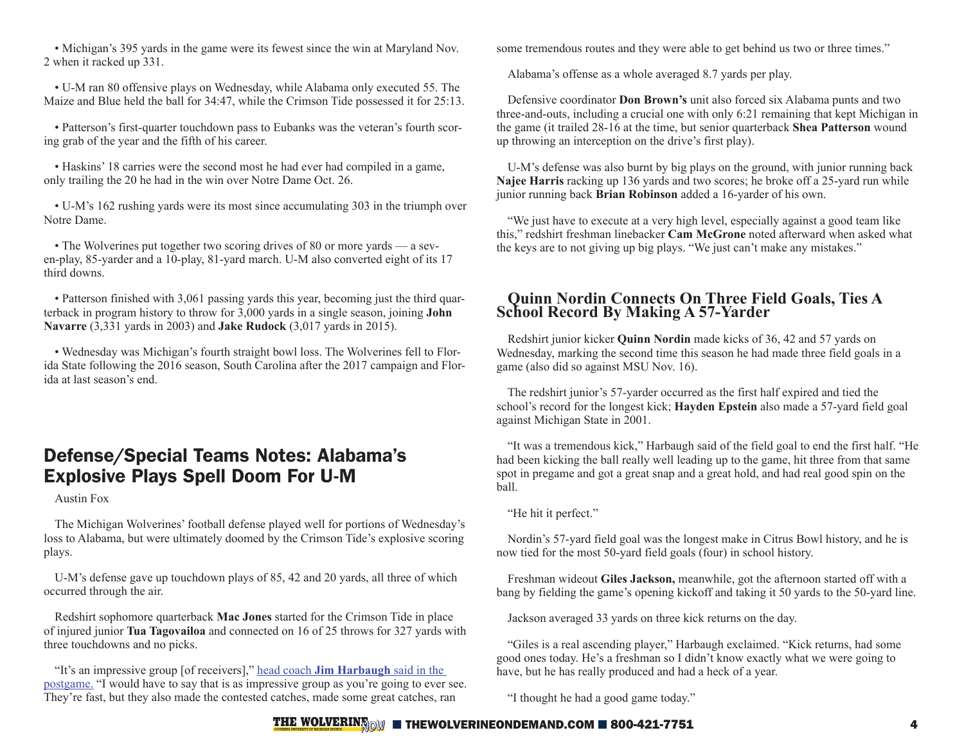• Michigan's 395 yards in the game were its fewest since the win at Maryland Nov. 2 when it racked up 331.

• U-M ran 80 offensive plays on Wednesday, while Alabama only executed 55. The Maize and Blue held the ball for 34:47, while the Crimson Tide possessed it for 25:13.

• Patterson's first-quarter touchdown pass to Eubanks was the veteran's fourth scoring grab of the year and the fifth of his career.

• Haskins' 18 carries were the second most he had ever had compiled in a game, only trailing the 20 he had in the win over Notre Dame Oct. 26.

• U-M's 162 rushing yards were its most since accumulating 303 in the triumph over Notre Dame.

• The Wolverines put together two scoring drives of 80 or more yards — a seven-play, 85-yarder and a 10-play, 81-yard march. U-M also converted eight of its 17 third downs.

• Patterson finished with 3,061 passing yards this year, becoming just the third quarterback in program history to throw for 3,000 yards in a single season, joining **John Navarre** (3,331 yards in 2003) and **Jake Rudock** (3,017 yards in 2015).

• Wednesday was Michigan's fourth straight bowl loss. The Wolverines fell to Florida State following the 2016 season, South Carolina after the 2017 campaign and Florida at last season's end.

## Defense/Special Teams Notes: Alabama's Explosive Plays Spell Doom For U-M

Austin Fox

The Michigan Wolverines' football defense played well for portions of Wednesday's loss to Alabama, but were ultimately doomed by the Crimson Tide's explosive scoring plays.

U-M's defense gave up touchdown plays of 85, 42 and 20 yards, all three of which occurred through the air.

Redshirt sophomore quarterback **Mac Jones** started for the Crimson Tide in place of injured junior **Tua Tagovailoa** and connected on 16 of 25 throws for 327 yards with three touchdowns and no picks.

"It's an impressive group [of receivers]," head coach **[Jim Harbaugh](https://michigan.rivals.com/news/michigan-wolverines-postgame-video-harbaugh-patterson-mcgrone-talk-loss-1)** said in the [postgame.](https://michigan.rivals.com/news/michigan-wolverines-postgame-video-harbaugh-patterson-mcgrone-talk-loss-1) "I would have to say that is as impressive group as you're going to ever see. They're fast, but they also made the contested catches, made some great catches, ran

some tremendous routes and they were able to get behind us two or three times."

Alabama's offense as a whole averaged 8.7 yards per play.

Defensive coordinator **Don Brown's** unit also forced six Alabama punts and two three-and-outs, including a crucial one with only 6:21 remaining that kept Michigan in the game (it trailed 28-16 at the time, but senior quarterback **Shea Patterson** wound up throwing an interception on the drive's first play).

U-M's defense was also burnt by big plays on the ground, with junior running back **Najee Harris** racking up 136 yards and two scores; he broke off a 25-yard run while junior running back **Brian Robinson** added a 16-yarder of his own.

"We just have to execute at a very high level, especially against a good team like this," redshirt freshman linebacker **Cam McGrone** noted afterward when asked what the keys are to not giving up big plays. "We just can't make any mistakes."

#### **Quinn Nordin Connects On Three Field Goals, Ties A School Record By Making A 57-Yarder**

Redshirt junior kicker **Quinn Nordin** made kicks of 36, 42 and 57 yards on Wednesday, marking the second time this season he had made three field goals in a game (also did so against MSU Nov. 16).

The redshirt junior's 57-yarder occurred as the first half expired and tied the school's record for the longest kick; **Hayden Epstein** also made a 57-yard field goal against Michigan State in 2001.

"It was a tremendous kick," Harbaugh said of the field goal to end the first half. "He had been kicking the ball really well leading up to the game, hit three from that same spot in pregame and got a great snap and a great hold, and had real good spin on the ball.

"He hit it perfect."

Nordin's 57-yard field goal was the longest make in Citrus Bowl history, and he is now tied for the most 50-yard field goals (four) in school history.

Freshman wideout **Giles Jackson,** meanwhile, got the afternoon started off with a bang by fielding the game's opening kickoff and taking it 50 yards to the 50-yard line.

Jackson averaged 33 yards on three kick returns on the day.

"Giles is a real ascending player," Harbaugh exclaimed. "Kick returns, had some good ones today. He's a freshman so I didn't know exactly what we were going to have, but he has really produced and had a heck of a year.

"I thought he had a good game today."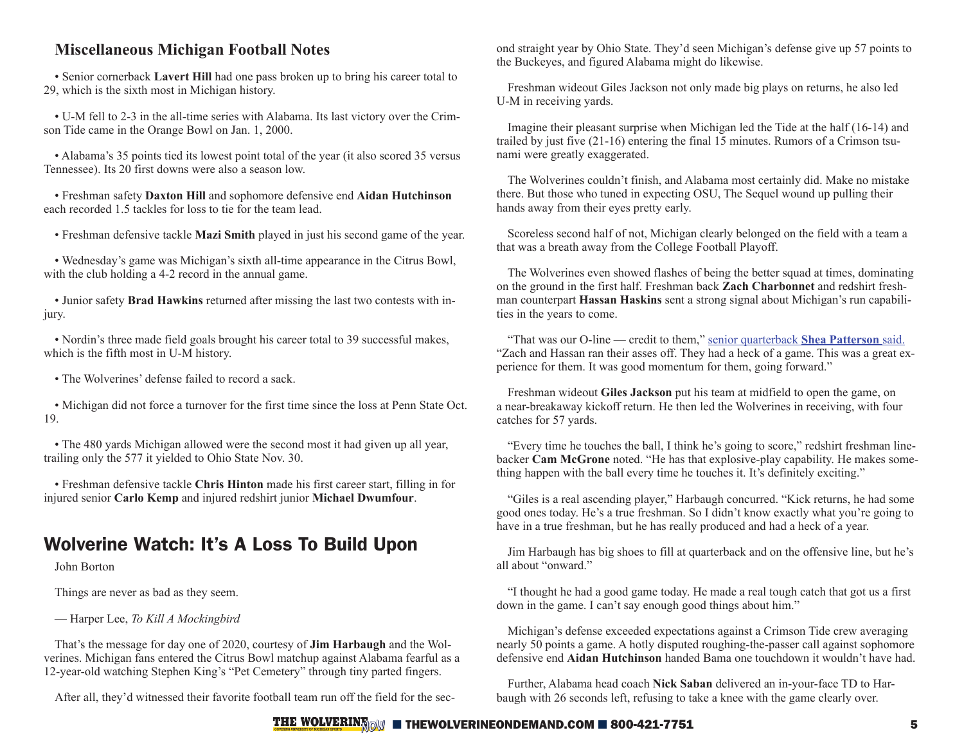### **Miscellaneous Michigan Football Notes**

• Senior cornerback **Lavert Hill** had one pass broken up to bring his career total to 29, which is the sixth most in Michigan history.

• U-M fell to 2-3 in the all-time series with Alabama. Its last victory over the Crimson Tide came in the Orange Bowl on Jan. 1, 2000.

• Alabama's 35 points tied its lowest point total of the year (it also scored 35 versus Tennessee). Its 20 first downs were also a season low.

• Freshman safety **Daxton Hill** and sophomore defensive end **Aidan Hutchinson** each recorded 1.5 tackles for loss to tie for the team lead.

• Freshman defensive tackle **Mazi Smith** played in just his second game of the year.

• Wednesday's game was Michigan's sixth all-time appearance in the Citrus Bowl, with the club holding a 4-2 record in the annual game.

• Junior safety **Brad Hawkins** returned after missing the last two contests with injury.

• Nordin's three made field goals brought his career total to 39 successful makes, which is the fifth most in U-M history.

• The Wolverines' defense failed to record a sack.

• Michigan did not force a turnover for the first time since the loss at Penn State Oct. 19.

• The 480 yards Michigan allowed were the second most it had given up all year, trailing only the 577 it yielded to Ohio State Nov. 30.

• Freshman defensive tackle **Chris Hinton** made his first career start, filling in for injured senior **Carlo Kemp** and injured redshirt junior **Michael Dwumfour**.

# Wolverine Watch: It's A Loss To Build Upon

John Borton

Things are never as bad as they seem.

— Harper Lee, *To Kill A Mockingbird*

That's the message for day one of 2020, courtesy of **Jim Harbaugh** and the Wolverines. Michigan fans entered the Citrus Bowl matchup against Alabama fearful as a 12-year-old watching Stephen King's "Pet Cemetery" through tiny parted fingers.

After all, they'd witnessed their favorite football team run off the field for the sec-

ond straight year by Ohio State. They'd seen Michigan's defense give up 57 points to the Buckeyes, and figured Alabama might do likewise.

Freshman wideout Giles Jackson not only made big plays on returns, he also led U-M in receiving yards.

Imagine their pleasant surprise when Michigan led the Tide at the half (16-14) and trailed by just five (21-16) entering the final 15 minutes. Rumors of a Crimson tsunami were greatly exaggerated.

The Wolverines couldn't finish, and Alabama most certainly did. Make no mistake there. But those who tuned in expecting OSU, The Sequel wound up pulling their hands away from their eyes pretty early.

Scoreless second half of not, Michigan clearly belonged on the field with a team a that was a breath away from the College Football Playoff.

The Wolverines even showed flashes of being the better squad at times, dominating on the ground in the first half. Freshman back **Zach Charbonnet** and redshirt freshman counterpart **Hassan Haskins** sent a strong signal about Michigan's run capabilities in the years to come.

"That was our O-line — credit to them," [senior quarterback](https://michigan.rivals.com/news/michigan-wolverines-postgame-video-harbaugh-patterson-mcgrone-talk-loss-1) **Shea Patterson** said. "Zach and Hassan ran their asses off. They had a heck of a game. This was a great experience for them. It was good momentum for them, going forward."

Freshman wideout **Giles Jackson** put his team at midfield to open the game, on a near-breakaway kickoff return. He then led the Wolverines in receiving, with four catches for 57 yards.

"Every time he touches the ball, I think he's going to score," redshirt freshman linebacker **Cam McGrone** noted. "He has that explosive-play capability. He makes something happen with the ball every time he touches it. It's definitely exciting."

"Giles is a real ascending player," Harbaugh concurred. "Kick returns, he had some good ones today. He's a true freshman. So I didn't know exactly what you're going to have in a true freshman, but he has really produced and had a heck of a year.

Jim Harbaugh has big shoes to fill at quarterback and on the offensive line, but he's all about "onward."

"I thought he had a good game today. He made a real tough catch that got us a first down in the game. I can't say enough good things about him."

Michigan's defense exceeded expectations against a Crimson Tide crew averaging nearly 50 points a game. A hotly disputed roughing-the-passer call against sophomore defensive end **Aidan Hutchinson** handed Bama one touchdown it wouldn't have had.

Further, Alabama head coach **Nick Saban** delivered an in-your-face TD to Harbaugh with 26 seconds left, refusing to take a knee with the game clearly over.